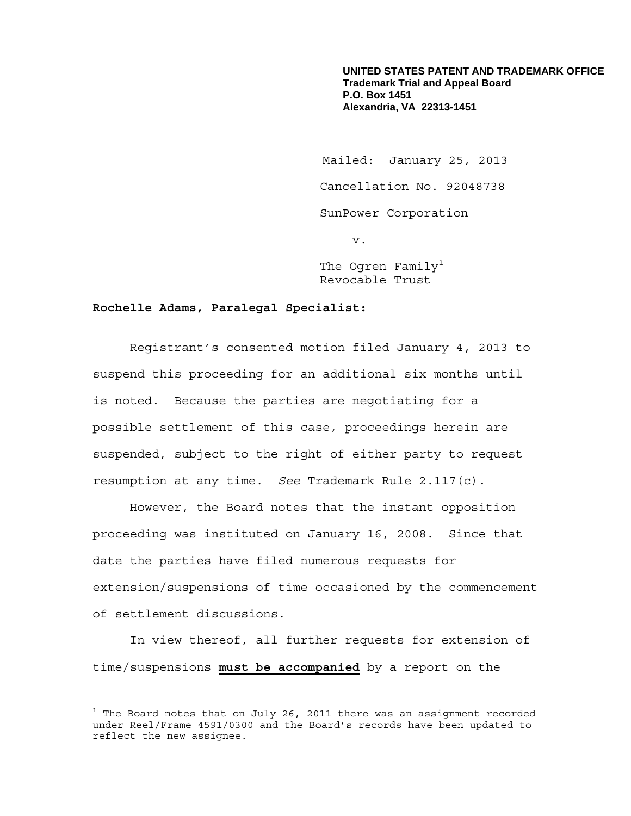**UNITED STATES PATENT AND TRADEMARK OFFICE Trademark Trial and Appeal Board P.O. Box 1451 Alexandria, VA 22313-1451**

 Mailed: January 25, 2013 Cancellation No. 92048738 SunPower Corporation v.

The Oqren Family<sup>1</sup> Revocable Trust

## **Rochelle Adams, Paralegal Specialist:**

 $\overline{a}$ 

Registrant's consented motion filed January 4, 2013 to suspend this proceeding for an additional six months until is noted. Because the parties are negotiating for a possible settlement of this case, proceedings herein are suspended, subject to the right of either party to request resumption at any time. *See* Trademark Rule 2.117(c).

However, the Board notes that the instant opposition proceeding was instituted on January 16, 2008. Since that date the parties have filed numerous requests for extension/suspensions of time occasioned by the commencement of settlement discussions.

 In view thereof, all further requests for extension of time/suspensions **must be accompanied** by a report on the

 $^{\rm 1}$  The Board notes that on July 26, 2011 there was an assignment recorded under Reel/Frame 4591/0300 and the Board's records have been updated to reflect the new assignee.